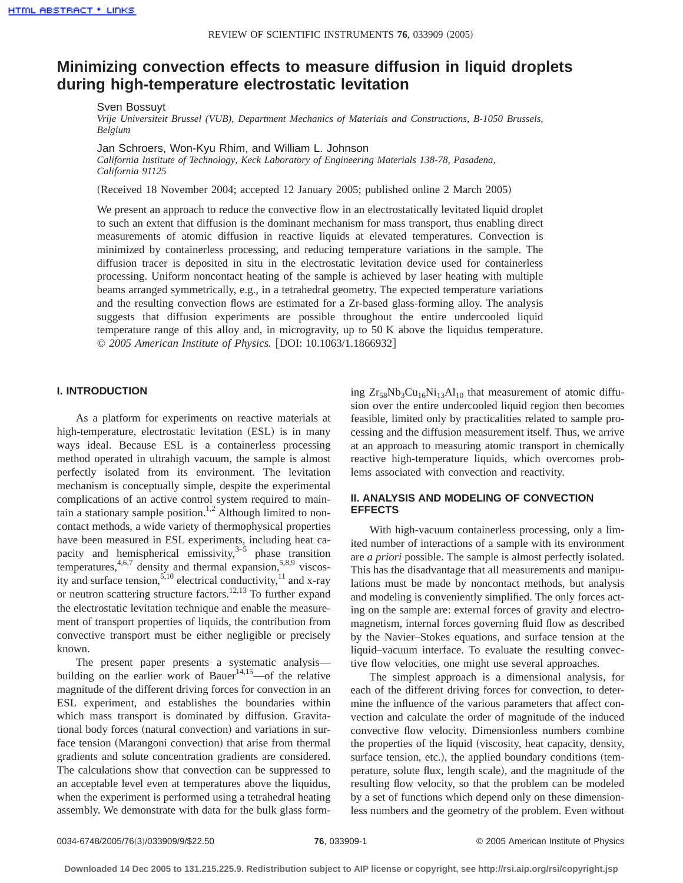# **Minimizing convection effects to measure diffusion in liquid droplets during high-temperature electrostatic levitation**

Sven Bossuyt

*Vrije Universiteit Brussel (VUB), Department Mechanics of Materials and Constructions, B-1050 Brussels, Belgium*

Jan Schroers, Won-Kyu Rhim, and William L. Johnson

*California Institute of Technology, Keck Laboratory of Engineering Materials 138-78, Pasadena, California 91125*

(Received 18 November 2004; accepted 12 January 2005; published online 2 March 2005)

We present an approach to reduce the convective flow in an electrostatically levitated liquid droplet to such an extent that diffusion is the dominant mechanism for mass transport, thus enabling direct measurements of atomic diffusion in reactive liquids at elevated temperatures. Convection is minimized by containerless processing, and reducing temperature variations in the sample. The diffusion tracer is deposited in situ in the electrostatic levitation device used for containerless processing. Uniform noncontact heating of the sample is achieved by laser heating with multiple beams arranged symmetrically, e.g., in a tetrahedral geometry. The expected temperature variations and the resulting convection flows are estimated for a Zr-based glass-forming alloy. The analysis suggests that diffusion experiments are possible throughout the entire undercooled liquid temperature range of this alloy and, in microgravity, up to 50 K above the liquidus temperature. © 2005 American Institute of Physics. [DOI: 10.1063/1.1866932]

## **I. INTRODUCTION**

As a platform for experiments on reactive materials at high-temperature, electrostatic levitation (ESL) is in many ways ideal. Because ESL is a containerless processing method operated in ultrahigh vacuum, the sample is almost perfectly isolated from its environment. The levitation mechanism is conceptually simple, despite the experimental complications of an active control system required to maintain a stationary sample position.<sup>1,2</sup> Although limited to noncontact methods, a wide variety of thermophysical properties have been measured in ESL experiments, including heat capacity and hemispherical emissivity, $3-5$  phase transition temperatures,  $4,6,7$  density and thermal expansion,  $5,8,9$  viscosity and surface tension,<sup>5,10</sup> electrical conductivity,<sup>11</sup> and x-ray or neutron scattering structure factors.<sup>12,13</sup> To further expand the electrostatic levitation technique and enable the measurement of transport properties of liquids, the contribution from convective transport must be either negligible or precisely known.

The present paper presents a systematic analysis building on the earlier work of Bauer<sup>14,15</sup>—of the relative magnitude of the different driving forces for convection in an ESL experiment, and establishes the boundaries within which mass transport is dominated by diffusion. Gravitational body forces (natural convection) and variations in surface tension (Marangoni convection) that arise from thermal gradients and solute concentration gradients are considered. The calculations show that convection can be suppressed to an acceptable level even at temperatures above the liquidus, when the experiment is performed using a tetrahedral heating assembly. We demonstrate with data for the bulk glass forming  $Zr_{58}Nb_3Cu_{16}Ni_{13}Al_{10}$  that measurement of atomic diffusion over the entire undercooled liquid region then becomes feasible, limited only by practicalities related to sample processing and the diffusion measurement itself. Thus, we arrive at an approach to measuring atomic transport in chemically reactive high-temperature liquids, which overcomes problems associated with convection and reactivity.

# **II. ANALYSIS AND MODELING OF CONVECTION EFFECTS**

With high-vacuum containerless processing, only a limited number of interactions of a sample with its environment are *a priori* possible. The sample is almost perfectly isolated. This has the disadvantage that all measurements and manipulations must be made by noncontact methods, but analysis and modeling is conveniently simplified. The only forces acting on the sample are: external forces of gravity and electromagnetism, internal forces governing fluid flow as described by the Navier–Stokes equations, and surface tension at the liquid–vacuum interface. To evaluate the resulting convective flow velocities, one might use several approaches.

The simplest approach is a dimensional analysis, for each of the different driving forces for convection, to determine the influence of the various parameters that affect convection and calculate the order of magnitude of the induced convective flow velocity. Dimensionless numbers combine the properties of the liquid (viscosity, heat capacity, density, surface tension, etc.), the applied boundary conditions (temperature, solute flux, length scale), and the magnitude of the resulting flow velocity, so that the problem can be modeled by a set of functions which depend only on these dimensionless numbers and the geometry of the problem. Even without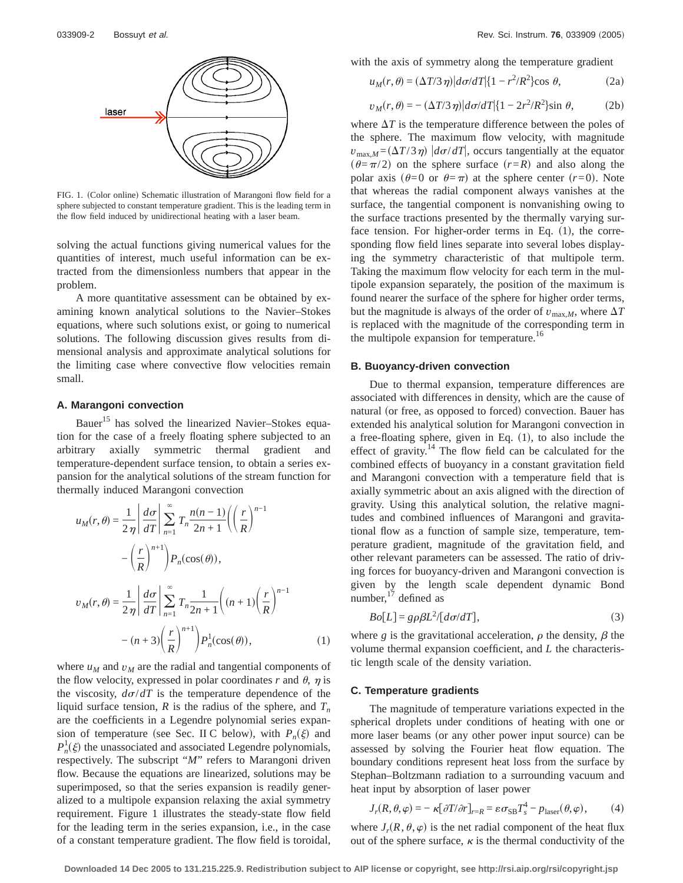

FIG. 1. (Color online) Schematic illustration of Marangoni flow field for a sphere subjected to constant temperature gradient. This is the leading term in the flow field induced by unidirectional heating with a laser beam.

solving the actual functions giving numerical values for the quantities of interest, much useful information can be extracted from the dimensionless numbers that appear in the problem.

A more quantitative assessment can be obtained by examining known analytical solutions to the Navier–Stokes equations, where such solutions exist, or going to numerical solutions. The following discussion gives results from dimensional analysis and approximate analytical solutions for the limiting case where convective flow velocities remain small.

## **A. Marangoni convection**

Bauer<sup>15</sup> has solved the linearized Navier–Stokes equation for the case of a freely floating sphere subjected to an arbitrary axially symmetric thermal gradient and temperature-dependent surface tension, to obtain a series expansion for the analytical solutions of the stream function for thermally induced Marangoni convection

$$
u_M(r,\theta) = \frac{1}{2\eta} \left| \frac{d\sigma}{dT} \right| \sum_{n=1}^{\infty} T_n \frac{n(n-1)}{2n+1} \left( \left( \frac{r}{R} \right)^{n-1} - \left( \frac{r}{R} \right)^{n+1} \right) P_n(\cos(\theta)),
$$
  

$$
v_M(r,\theta) = \frac{1}{2\eta} \left| \frac{d\sigma}{dT} \right| \sum_{n=1}^{\infty} T_n \frac{1}{2n+1} \left( (n+1) \left( \frac{r}{R} \right)^{n-1} - (n+3) \left( \frac{r}{R} \right)^{n+1} \right) P_n^1(\cos(\theta)), \tag{1}
$$

where  $u_M$  and  $v_M$  are the radial and tangential components of the flow velocity, expressed in polar coordinates  $r$  and  $\theta$ ,  $\eta$  is the viscosity,  $d\sigma/dT$  is the temperature dependence of the liquid surface tension,  $R$  is the radius of the sphere, and  $T_n$ are the coefficients in a Legendre polynomial series expansion of temperature (see Sec. II C below), with  $P_n(\xi)$  and  $P_n^1(\xi)$  the unassociated and associated Legendre polynomials, respectively. The subscript "*M*" refers to Marangoni driven flow. Because the equations are linearized, solutions may be superimposed, so that the series expansion is readily generalized to a multipole expansion relaxing the axial symmetry requirement. Figure 1 illustrates the steady-state flow field for the leading term in the series expansion, i.e., in the case of a constant temperature gradient. The flow field is toroidal, with the axis of symmetry along the temperature gradient

$$
u_M(r,\theta) = (\Delta T/3 \eta) |d\sigma/dT| \{1 - r^2/R^2\} \cos \theta, \tag{2a}
$$

$$
v_M(r,\theta) = -\left(\Delta T/3 \eta\right) \left| d\sigma / dT \right| \{1 - 2r^2/R^2\} \sin \theta,\tag{2b}
$$

where  $\Delta T$  is the temperature difference between the poles of the sphere. The maximum flow velocity, with magnitude  $v_{\text{max},M} = (\Delta T/3\eta) |d\sigma/dT|$ , occurs tangentially at the equator  $(\theta = \pi/2)$  on the sphere surface  $(r=R)$  and also along the polar axis  $(\theta=0 \text{ or } \theta=\pi)$  at the sphere center  $(r=0)$ . Note that whereas the radial component always vanishes at the surface, the tangential component is nonvanishing owing to the surface tractions presented by the thermally varying surface tension. For higher-order terms in Eq.  $(1)$ , the corresponding flow field lines separate into several lobes displaying the symmetry characteristic of that multipole term. Taking the maximum flow velocity for each term in the multipole expansion separately, the position of the maximum is found nearer the surface of the sphere for higher order terms, but the magnitude is always of the order of  $v_{\text{max},M}$ , where  $\Delta T$ is replaced with the magnitude of the corresponding term in the multipole expansion for temperature.<sup>16</sup>

## **B. Buoyancy-driven convection**

Due to thermal expansion, temperature differences are associated with differences in density, which are the cause of natural (or free, as opposed to forced) convection. Bauer has extended his analytical solution for Marangoni convection in a free-floating sphere, given in Eq.  $(1)$ , to also include the effect of gravity.<sup>14</sup> The flow field can be calculated for the combined effects of buoyancy in a constant gravitation field and Marangoni convection with a temperature field that is axially symmetric about an axis aligned with the direction of gravity. Using this analytical solution, the relative magnitudes and combined influences of Marangoni and gravitational flow as a function of sample size, temperature, temperature gradient, magnitude of the gravitation field, and other relevant parameters can be assessed. The ratio of driving forces for buoyancy-driven and Marangoni convection is given by the length scale dependent dynamic Bond number, $17$  defined as

$$
Bo[L] = g\rho\beta L^2 [d\sigma/dT],\tag{3}
$$

where *g* is the gravitational acceleration,  $\rho$  the density,  $\beta$  the volume thermal expansion coefficient, and *L* the characteristic length scale of the density variation.

## **C. Temperature gradients**

The magnitude of temperature variations expected in the spherical droplets under conditions of heating with one or more laser beams (or any other power input source) can be assessed by solving the Fourier heat flow equation. The boundary conditions represent heat loss from the surface by Stephan–Boltzmann radiation to a surrounding vacuum and heat input by absorption of laser power

$$
J_r(R, \theta, \varphi) = -\kappa [\partial T/\partial r]_{r=R} = \varepsilon \sigma_{\rm SB} T_s^4 - p_{\rm laser}(\theta, \varphi), \qquad (4)
$$

where  $J_r(R, \theta, \varphi)$  is the net radial component of the heat flux out of the sphere surface,  $\kappa$  is the thermal conductivity of the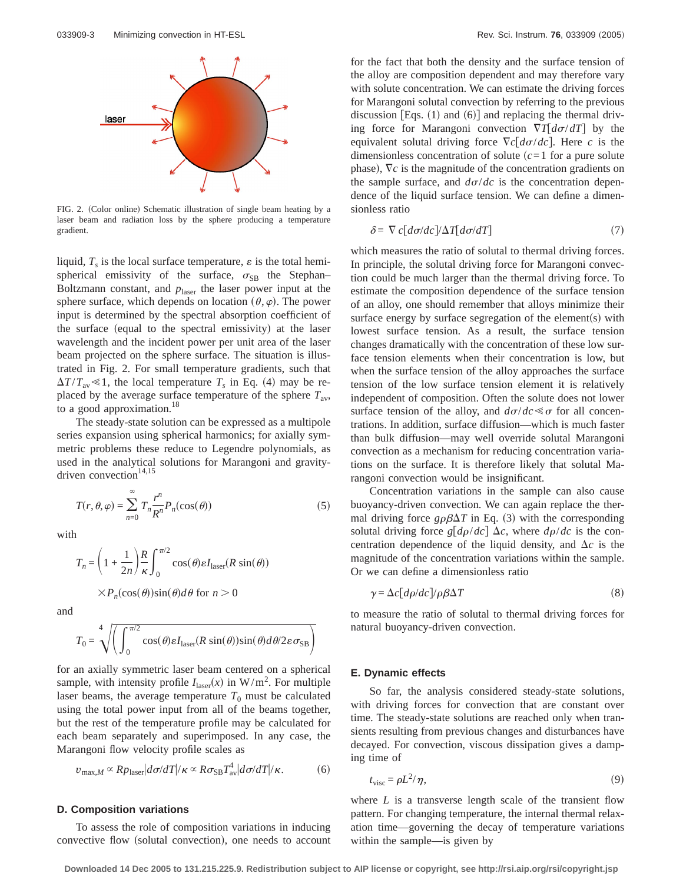

FIG. 2. (Color online) Schematic illustration of single beam heating by a laser beam and radiation loss by the sphere producing a temperature gradient.

liquid,  $T<sub>s</sub>$  is the local surface temperature,  $\varepsilon$  is the total hemispherical emissivity of the surface,  $\sigma_{SB}$  the Stephan– Boltzmann constant, and  $p_{\text{laser}}$  the laser power input at the sphere surface, which depends on location  $(\theta, \varphi)$ . The power input is determined by the spectral absorption coefficient of the surface (equal to the spectral emissivity) at the laser wavelength and the incident power per unit area of the laser beam projected on the sphere surface. The situation is illustrated in Fig. 2. For small temperature gradients, such that  $\Delta T/T_{av} \le 1$ , the local temperature  $T_s$  in Eq. (4) may be replaced by the average surface temperature of the sphere  $T_{av}$ , to a good approximation.<sup>18</sup>

The steady-state solution can be expressed as a multipole series expansion using spherical harmonics; for axially symmetric problems these reduce to Legendre polynomials, as used in the analytical solutions for Marangoni and gravitydriven convection $14,15$ 

$$
T(r,\theta,\varphi) = \sum_{n=0}^{\infty} T_n \frac{r^n}{R^n} P_n(\cos(\theta))
$$
 (5)

with

$$
T_n = \left(1 + \frac{1}{2n}\right) \frac{R}{\kappa} \int_0^{\pi/2} \cos(\theta) \varepsilon I_{\text{laser}}(R \sin(\theta))
$$

$$
\times P_n(\cos(\theta)) \sin(\theta) d\theta \text{ for } n > 0
$$

and

$$
T_0 = \sqrt[4]{\left(\int_0^{\pi/2} \cos(\theta) \epsilon I_{\text{laser}}(R \sin(\theta)) \sin(\theta) d\theta / 2 \epsilon \sigma_{\text{SB}}\right)}
$$

for an axially symmetric laser beam centered on a spherical sample, with intensity profile  $I_{\text{laser}}(x)$  in W/m<sup>2</sup>. For multiple laser beams, the average temperature  $T_0$  must be calculated using the total power input from all of the beams together, but the rest of the temperature profile may be calculated for each beam separately and superimposed. In any case, the Marangoni flow velocity profile scales as

$$
v_{\text{max},M} \propto R p_{\text{laser}} |d\sigma/dT| / \kappa \propto R \sigma_{\text{SB}} T_{\text{av}}^4 |d\sigma/dT| / \kappa. \tag{6}
$$

## **D. Composition variations**

To assess the role of composition variations in inducing convective flow (solutal convection), one needs to account for the fact that both the density and the surface tension of the alloy are composition dependent and may therefore vary with solute concentration. We can estimate the driving forces for Marangoni solutal convection by referring to the previous discussion [Eqs.  $(1)$  and  $(6)$ ] and replacing the thermal driving force for Marangoni convection  $\nabla T[d\sigma/dT]$  by the equivalent solutal driving force  $\nabla c[d\sigma/dc]$ . Here *c* is the dimensionless concentration of solute  $(c=1$  for a pure solute phase),  $\nabla c$  is the magnitude of the concentration gradients on the sample surface, and  $d\sigma/dc$  is the concentration dependence of the liquid surface tension. We can define a dimensionless ratio

$$
\delta = \nabla c \left[ d\sigma / dc \right] / \Delta T \left[ d\sigma / dT \right] \tag{7}
$$

which measures the ratio of solutal to thermal driving forces. In principle, the solutal driving force for Marangoni convection could be much larger than the thermal driving force. To estimate the composition dependence of the surface tension of an alloy, one should remember that alloys minimize their surface energy by surface segregation of the element(s) with lowest surface tension. As a result, the surface tension changes dramatically with the concentration of these low surface tension elements when their concentration is low, but when the surface tension of the alloy approaches the surface tension of the low surface tension element it is relatively independent of composition. Often the solute does not lower surface tension of the alloy, and  $d\sigma/dc \ll \sigma$  for all concentrations. In addition, surface diffusion—which is much faster than bulk diffusion—may well override solutal Marangoni convection as a mechanism for reducing concentration variations on the surface. It is therefore likely that solutal Marangoni convection would be insignificant.

Concentration variations in the sample can also cause buoyancy-driven convection. We can again replace the thermal driving force  $g \rho \beta \Delta T$  in Eq. (3) with the corresponding solutal driving force  $g[d\rho/dc]$   $\Delta c$ , where  $d\rho/dc$  is the concentration dependence of the liquid density, and  $\Delta c$  is the magnitude of the concentration variations within the sample. Or we can define a dimensionless ratio

$$
\gamma = \Delta c \left[ d\rho / dc \right] / \rho \beta \Delta T \tag{8}
$$

to measure the ratio of solutal to thermal driving forces for natural buoyancy-driven convection.

## **E. Dynamic effects**

So far, the analysis considered steady-state solutions, with driving forces for convection that are constant over time. The steady-state solutions are reached only when transients resulting from previous changes and disturbances have decayed. For convection, viscous dissipation gives a damping time of

$$
t_{\rm visc} = \rho L^2 / \eta, \tag{9}
$$

where *L* is a transverse length scale of the transient flow pattern. For changing temperature, the internal thermal relaxation time—governing the decay of temperature variations within the sample—is given by

**Downloaded 14 Dec 2005 to 131.215.225.9. Redistribution subject to AIP license or copyright, see http://rsi.aip.org/rsi/copyright.jsp**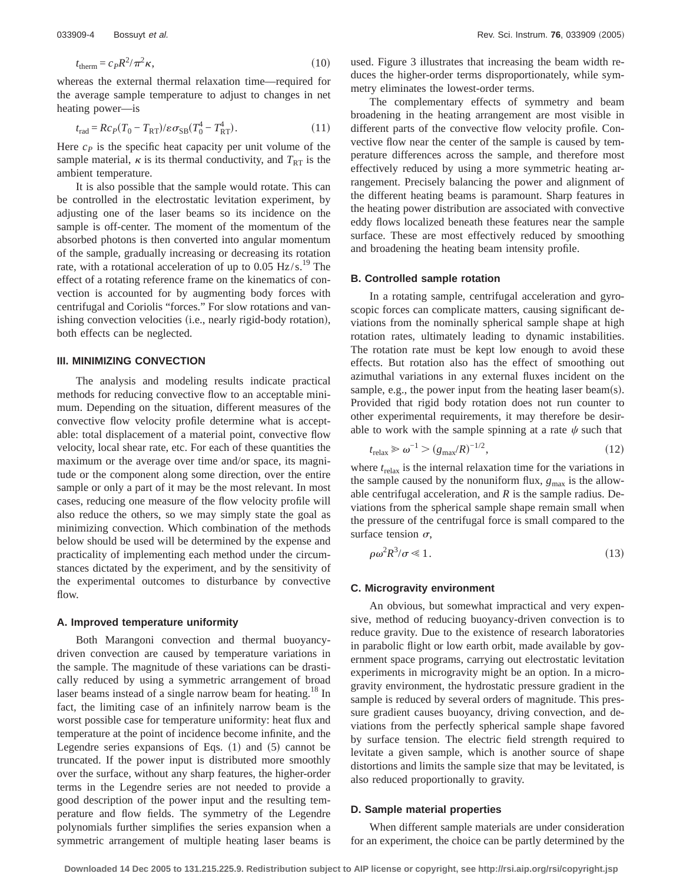$$
t_{\text{therm}} = c_P R^2 / \pi^2 \kappa,\tag{10}
$$

whereas the external thermal relaxation time—required for the average sample temperature to adjust to changes in net heating power—is

$$
t_{\rm rad} = R c_P (T_0 - T_{\rm RT}) / \varepsilon \sigma_{\rm SB} (T_0^4 - T_{\rm RT}^4). \tag{11}
$$

Here  $c_p$  is the specific heat capacity per unit volume of the sample material,  $\kappa$  is its thermal conductivity, and  $T_{RT}$  is the ambient temperature.

It is also possible that the sample would rotate. This can be controlled in the electrostatic levitation experiment, by adjusting one of the laser beams so its incidence on the sample is off-center. The moment of the momentum of the absorbed photons is then converted into angular momentum of the sample, gradually increasing or decreasing its rotation rate, with a rotational acceleration of up to  $0.05 \text{ Hz/s}$ .<sup>19</sup> The effect of a rotating reference frame on the kinematics of convection is accounted for by augmenting body forces with centrifugal and Coriolis "forces." For slow rotations and vanishing convection velocities (i.e., nearly rigid-body rotation), both effects can be neglected.

## **III. MINIMIZING CONVECTION**

The analysis and modeling results indicate practical methods for reducing convective flow to an acceptable minimum. Depending on the situation, different measures of the convective flow velocity profile determine what is acceptable: total displacement of a material point, convective flow velocity, local shear rate, etc. For each of these quantities the maximum or the average over time and/or space, its magnitude or the component along some direction, over the entire sample or only a part of it may be the most relevant. In most cases, reducing one measure of the flow velocity profile will also reduce the others, so we may simply state the goal as minimizing convection. Which combination of the methods below should be used will be determined by the expense and practicality of implementing each method under the circumstances dictated by the experiment, and by the sensitivity of the experimental outcomes to disturbance by convective flow.

#### **A. Improved temperature uniformity**

Both Marangoni convection and thermal buoyancydriven convection are caused by temperature variations in the sample. The magnitude of these variations can be drastically reduced by using a symmetric arrangement of broad laser beams instead of a single narrow beam for heating.<sup>18</sup> In fact, the limiting case of an infinitely narrow beam is the worst possible case for temperature uniformity: heat flux and temperature at the point of incidence become infinite, and the Legendre series expansions of Eqs.  $(1)$  and  $(5)$  cannot be truncated. If the power input is distributed more smoothly over the surface, without any sharp features, the higher-order terms in the Legendre series are not needed to provide a good description of the power input and the resulting temperature and flow fields. The symmetry of the Legendre polynomials further simplifies the series expansion when a symmetric arrangement of multiple heating laser beams is used. Figure 3 illustrates that increasing the beam width reduces the higher-order terms disproportionately, while symmetry eliminates the lowest-order terms.

The complementary effects of symmetry and beam broadening in the heating arrangement are most visible in different parts of the convective flow velocity profile. Convective flow near the center of the sample is caused by temperature differences across the sample, and therefore most effectively reduced by using a more symmetric heating arrangement. Precisely balancing the power and alignment of the different heating beams is paramount. Sharp features in the heating power distribution are associated with convective eddy flows localized beneath these features near the sample surface. These are most effectively reduced by smoothing and broadening the heating beam intensity profile.

#### **B. Controlled sample rotation**

In a rotating sample, centrifugal acceleration and gyroscopic forces can complicate matters, causing significant deviations from the nominally spherical sample shape at high rotation rates, ultimately leading to dynamic instabilities. The rotation rate must be kept low enough to avoid these effects. But rotation also has the effect of smoothing out azimuthal variations in any external fluxes incident on the sample, e.g., the power input from the heating laser beam $(s)$ . Provided that rigid body rotation does not run counter to other experimental requirements, it may therefore be desirable to work with the sample spinning at a rate  $\psi$  such that

$$
t_{\text{relax}} \geqslant \omega^{-1} > (g_{\text{max}}/R)^{-1/2},\tag{12}
$$

where  $t_{\text{relax}}$  is the internal relaxation time for the variations in the sample caused by the nonuniform flux,  $g_{\text{max}}$  is the allowable centrifugal acceleration, and *R* is the sample radius. Deviations from the spherical sample shape remain small when the pressure of the centrifugal force is small compared to the surface tension  $\sigma$ ,

$$
\rho \omega^2 R^3 / \sigma \ll 1. \tag{13}
$$

## **C. Microgravity environment**

An obvious, but somewhat impractical and very expensive, method of reducing buoyancy-driven convection is to reduce gravity. Due to the existence of research laboratories in parabolic flight or low earth orbit, made available by government space programs, carrying out electrostatic levitation experiments in microgravity might be an option. In a microgravity environment, the hydrostatic pressure gradient in the sample is reduced by several orders of magnitude. This pressure gradient causes buoyancy, driving convection, and deviations from the perfectly spherical sample shape favored by surface tension. The electric field strength required to levitate a given sample, which is another source of shape distortions and limits the sample size that may be levitated, is also reduced proportionally to gravity.

## **D. Sample material properties**

When different sample materials are under consideration for an experiment, the choice can be partly determined by the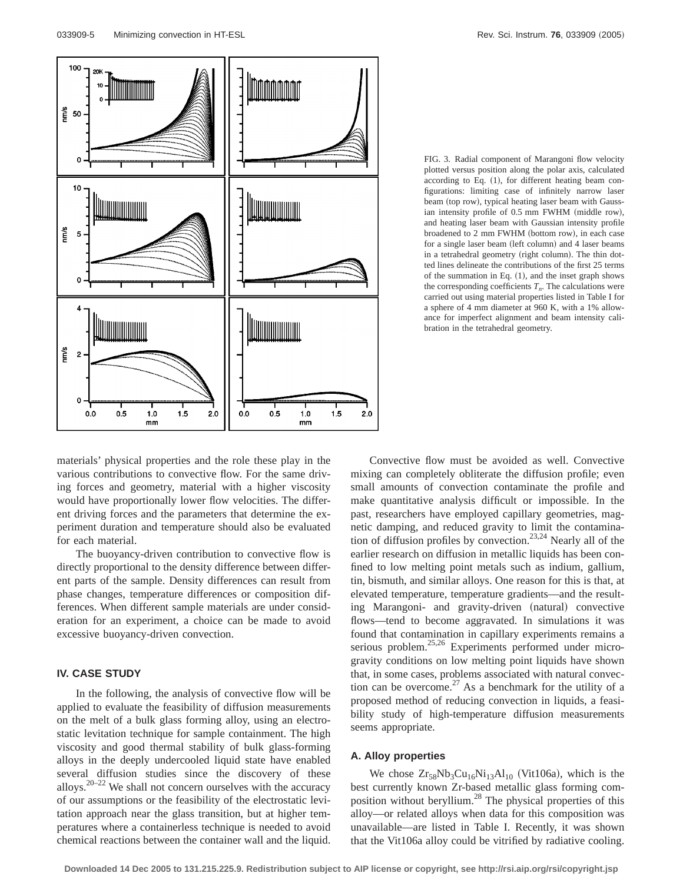

FIG. 3. Radial component of Marangoni flow velocity plotted versus position along the polar axis, calculated according to Eq.  $(1)$ , for different heating beam configurations: limiting case of infinitely narrow laser beam (top row), typical heating laser beam with Gaussian intensity profile of  $0.5$  mm FWHM (middle row), and heating laser beam with Gaussian intensity profile broadened to 2 mm FWHM (bottom row), in each case for a single laser beam (left column) and 4 laser beams in a tetrahedral geometry (right column). The thin dotted lines delineate the contributions of the first 25 terms of the summation in Eq.  $(1)$ , and the inset graph shows the corresponding coefficients  $T_n$ . The calculations were carried out using material properties listed in Table I for a sphere of 4 mm diameter at 960 K, with a 1% allowance for imperfect alignment and beam intensity calibration in the tetrahedral geometry.

materials' physical properties and the role these play in the various contributions to convective flow. For the same driving forces and geometry, material with a higher viscosity would have proportionally lower flow velocities. The different driving forces and the parameters that determine the experiment duration and temperature should also be evaluated for each material.

The buoyancy-driven contribution to convective flow is directly proportional to the density difference between different parts of the sample. Density differences can result from phase changes, temperature differences or composition differences. When different sample materials are under consideration for an experiment, a choice can be made to avoid excessive buoyancy-driven convection.

# **IV. CASE STUDY**

In the following, the analysis of convective flow will be applied to evaluate the feasibility of diffusion measurements on the melt of a bulk glass forming alloy, using an electrostatic levitation technique for sample containment. The high viscosity and good thermal stability of bulk glass-forming alloys in the deeply undercooled liquid state have enabled several diffusion studies since the discovery of these alloys.<sup>20–22</sup> We shall not concern ourselves with the accuracy of our assumptions or the feasibility of the electrostatic levitation approach near the glass transition, but at higher temperatures where a containerless technique is needed to avoid chemical reactions between the container wall and the liquid.

Convective flow must be avoided as well. Convective mixing can completely obliterate the diffusion profile; even small amounts of convection contaminate the profile and make quantitative analysis difficult or impossible. In the past, researchers have employed capillary geometries, magnetic damping, and reduced gravity to limit the contamination of diffusion profiles by convection.<sup>23,24</sup> Nearly all of the earlier research on diffusion in metallic liquids has been confined to low melting point metals such as indium, gallium, tin, bismuth, and similar alloys. One reason for this is that, at elevated temperature, temperature gradients—and the resulting Marangoni- and gravity-driven (natural) convective flows—tend to become aggravated. In simulations it was found that contamination in capillary experiments remains a serious problem.<sup>25,26</sup> Experiments performed under microgravity conditions on low melting point liquids have shown that, in some cases, problems associated with natural convection can be overcome.<sup>27</sup> As a benchmark for the utility of a proposed method of reducing convection in liquids, a feasibility study of high-temperature diffusion measurements seems appropriate.

#### **A. Alloy properties**

We chose  $Zr_{58}Nb_3Cu_{16}Ni_{13}Al_{10}$  (Vit106a), which is the best currently known Zr-based metallic glass forming composition without beryllium.28 The physical properties of this alloy—or related alloys when data for this composition was unavailable—are listed in Table I. Recently, it was shown that the Vit106a alloy could be vitrified by radiative cooling.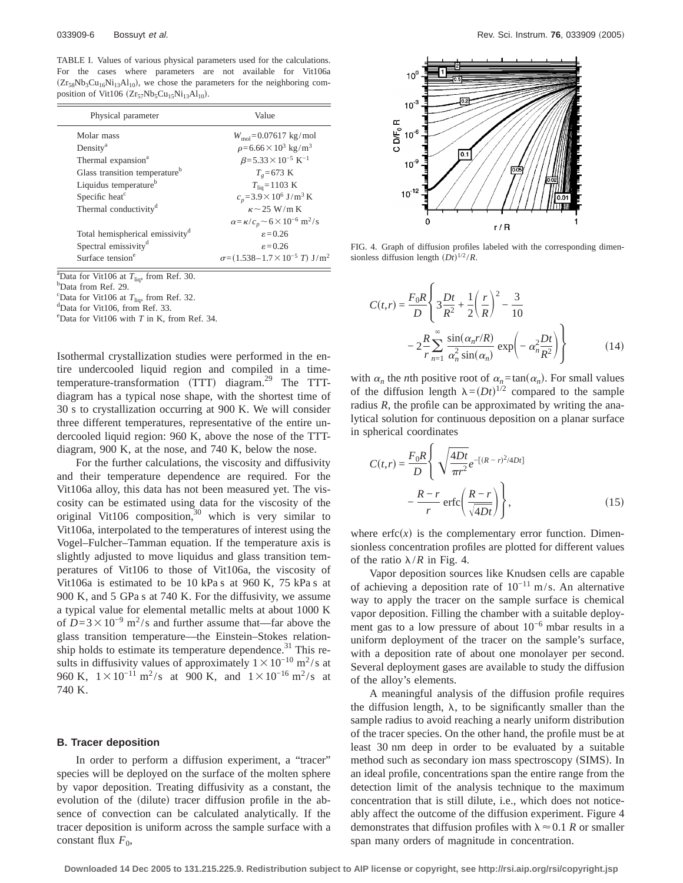TABLE I. Values of various physical parameters used for the calculations. For the cases where parameters are not available for Vit106a  $(Zr_{58}Nb_3Cu_{16}Ni_{13}Al_{10})$ , we chose the parameters for the neighboring composition of Vit106  $(Zr_{57}Nb_5Cu_{15}Ni_{13}Al_{10})$ .

| Physical parameter                          | Value                                                                    |
|---------------------------------------------|--------------------------------------------------------------------------|
| Molar mass                                  | $W_{\text{mol}} = 0.07617 \text{ kg/mol}$                                |
| Density <sup>a</sup>                        | $\rho = 6.66 \times 10^3$ kg/m <sup>3</sup>                              |
| Thermal expansion <sup>a</sup>              | $\beta = 5.33 \times 10^{-5} \text{ K}^{-1}$                             |
| Glass transition temperature <sup>b</sup>   | $T_{e}$ =673 K                                                           |
| Liquidus temperature <sup>b</sup>           | $T_{\text{liq}} = 1103 \text{ K}$                                        |
| Specific heat <sup>c</sup>                  | $c_p = 3.9 \times 10^6$ J/m <sup>3</sup> K                               |
| Thermal conductivity <sup>d</sup>           | $\kappa \sim 25$ W/m K                                                   |
|                                             | $\alpha = \frac{\kappa}{c_n} \sim 6 \times 10^{-6} \text{ m}^2/\text{s}$ |
| Total hemispherical emissivity <sup>d</sup> | $\epsilon = 0.26$                                                        |
| Spectral emissivity <sup>d</sup>            | $\epsilon = 0.26$                                                        |
| Surface tension <sup>e</sup>                | $\sigma = (1.538 - 1.7 \times 10^{-5} \text{ T}) \text{ J/m}^2$          |

 $a^2$ Data for Vit106 at  $T_{\text{liq}}$ , from Ref. 30.

<sup>b</sup>Data from Ref. 29.

<sup>c</sup>Data for Vit106 at  $T_{\text{liq}}$ , from Ref. 32.

Data for Vit106, from Ref. 33.

e Data for Vit106 with *T* in K, from Ref. 34.

Isothermal crystallization studies were performed in the entire undercooled liquid region and compiled in a timetemperature-transformation  $(TTT)$  diagram.<sup>29</sup> The TTTdiagram has a typical nose shape, with the shortest time of 30 s to crystallization occurring at 900 K. We will consider three different temperatures, representative of the entire undercooled liquid region: 960 K, above the nose of the TTTdiagram, 900 K, at the nose, and 740 K, below the nose.

For the further calculations, the viscosity and diffusivity and their temperature dependence are required. For the Vit106a alloy, this data has not been measured yet. The viscosity can be estimated using data for the viscosity of the original Vit106 composition,<sup>30</sup> which is very similar to Vit106a, interpolated to the temperatures of interest using the Vogel–Fulcher–Tamman equation. If the temperature axis is slightly adjusted to move liquidus and glass transition temperatures of Vit106 to those of Vit106a, the viscosity of Vit106a is estimated to be 10 kPa s at 960 K, 75 kPa s at 900 K, and 5 GPa s at 740 K. For the diffusivity, we assume a typical value for elemental metallic melts at about 1000 K of  $D=3\times10^{-9}$  m<sup>2</sup>/s and further assume that—far above the glass transition temperature—the Einstein–Stokes relationship holds to estimate its temperature dependence. $31$  This results in diffusivity values of approximately  $1 \times 10^{-10}$  m<sup>2</sup>/s at 960 K,  $1 \times 10^{-11}$  m<sup>2</sup>/s at 900 K, and  $1 \times 10^{-16}$  m<sup>2</sup>/s at 740 K.

## **B. Tracer deposition**

In order to perform a diffusion experiment, a "tracer" species will be deployed on the surface of the molten sphere by vapor deposition. Treating diffusivity as a constant, the evolution of the (dilute) tracer diffusion profile in the absence of convection can be calculated analytically. If the tracer deposition is uniform across the sample surface with a constant flux  $F_0$ ,



FIG. 4. Graph of diffusion profiles labeled with the corresponding dimensionless diffusion length  $(Dt)^{1/2}/R$ .

$$
C(t,r) = \frac{F_0 R}{D} \left\{ 3 \frac{Dt}{R^2} + \frac{1}{2} \left( \frac{r}{R} \right)^2 - \frac{3}{10} - 2 \frac{R}{r} \sum_{n=1}^{\infty} \frac{\sin(\alpha_n r/R)}{\alpha_n^2 \sin(\alpha_n)} \exp(-\alpha_n^2 \frac{Dt}{R^2}) \right\}
$$
(14)

with  $\alpha_n$  the *n*th positive root of  $\alpha_n = \tan(\alpha_n)$ . For small values of the diffusion length  $\lambda = (Dt)^{1/2}$  compared to the sample radius *R*, the profile can be approximated by writing the analytical solution for continuous deposition on a planar surface in spherical coordinates

$$
C(t,r) = \frac{F_0 R}{D} \left\{ \sqrt{\frac{4Dt}{\pi r^2}} e^{-[(R-r)^2/4Dt]} -\frac{R-r}{r} \operatorname{erfc}\left(\frac{R-r}{\sqrt{4Dt}}\right) \right\},\tag{15}
$$

where  $erfc(x)$  is the complementary error function. Dimensionless concentration profiles are plotted for different values of the ratio  $\lambda/R$  in Fig. 4.

Vapor deposition sources like Knudsen cells are capable of achieving a deposition rate of  $10^{-11}$  m/s. An alternative way to apply the tracer on the sample surface is chemical vapor deposition. Filling the chamber with a suitable deployment gas to a low pressure of about  $10^{-6}$  mbar results in a uniform deployment of the tracer on the sample's surface, with a deposition rate of about one monolayer per second. Several deployment gases are available to study the diffusion of the alloy's elements.

A meaningful analysis of the diffusion profile requires the diffusion length,  $\lambda$ , to be significantly smaller than the sample radius to avoid reaching a nearly uniform distribution of the tracer species. On the other hand, the profile must be at least 30 nm deep in order to be evaluated by a suitable method such as secondary ion mass spectroscopy (SIMS). In an ideal profile, concentrations span the entire range from the detection limit of the analysis technique to the maximum concentration that is still dilute, i.e., which does not noticeably affect the outcome of the diffusion experiment. Figure 4 demonstrates that diffusion profiles with  $\lambda \approx 0.1 R$  or smaller span many orders of magnitude in concentration.

**Downloaded 14 Dec 2005 to 131.215.225.9. Redistribution subject to AIP license or copyright, see http://rsi.aip.org/rsi/copyright.jsp**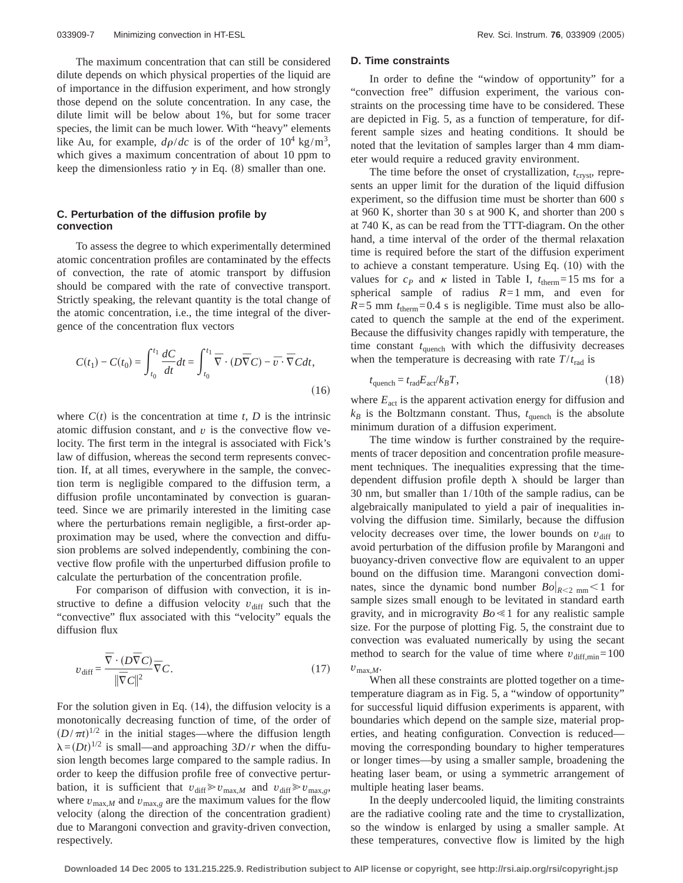The maximum concentration that can still be considered dilute depends on which physical properties of the liquid are of importance in the diffusion experiment, and how strongly those depend on the solute concentration. In any case, the dilute limit will be below about 1%, but for some tracer species, the limit can be much lower. With "heavy" elements like Au, for example,  $d\rho/dc$  is of the order of  $10^4$  kg/m<sup>3</sup>, which gives a maximum concentration of about 10 ppm to keep the dimensionless ratio  $\gamma$  in Eq. (8) smaller than one.

## **C. Perturbation of the diffusion profile by convection**

To assess the degree to which experimentally determined atomic concentration profiles are contaminated by the effects of convection, the rate of atomic transport by diffusion should be compared with the rate of convective transport. Strictly speaking, the relevant quantity is the total change of the atomic concentration, i.e., the time integral of the divergence of the concentration flux vectors

$$
C(t_1) - C(t_0) = \int_{t_0}^{t_1} \frac{dC}{dt} dt = \int_{t_0}^{t_1} \overline{\nabla} \cdot (D\overline{\nabla} C) - \overline{v} \cdot \overline{\nabla} C dt,
$$
\n(16)

where  $C(t)$  is the concentration at time *t*, *D* is the intrinsic atomic diffusion constant, and  $v$  is the convective flow velocity. The first term in the integral is associated with Fick's law of diffusion, whereas the second term represents convection. If, at all times, everywhere in the sample, the convection term is negligible compared to the diffusion term, a diffusion profile uncontaminated by convection is guaranteed. Since we are primarily interested in the limiting case where the perturbations remain negligible, a first-order approximation may be used, where the convection and diffusion problems are solved independently, combining the convective flow profile with the unperturbed diffusion profile to calculate the perturbation of the concentration profile.

For comparison of diffusion with convection, it is instructive to define a diffusion velocity  $v_{\text{diff}}$  such that the "convective" flux associated with this "velocity" equals the diffusion flux

$$
v_{\text{diff}} = \frac{\overline{\nabla} \cdot (D\overline{\nabla} C)}{\|\overline{\nabla} C\|^2} \overline{\nabla} C. \tag{17}
$$

For the solution given in Eq.  $(14)$ , the diffusion velocity is a monotonically decreasing function of time, of the order of  $(D/\pi t)^{1/2}$  in the initial stages—where the diffusion length  $\lambda = (Dt)^{1/2}$  is small—and approaching  $3D/r$  when the diffusion length becomes large compared to the sample radius. In order to keep the diffusion profile free of convective perturbation, it is sufficient that  $v_{\text{diff}} \ge v_{\text{max},M}$  and  $v_{\text{diff}} \ge v_{\text{max},g}$ , where  $v_{\text{max},M}$  and  $v_{\text{max},g}$  are the maximum values for the flow velocity (along the direction of the concentration gradient) due to Marangoni convection and gravity-driven convection, respectively.

#### **D. Time constraints**

In order to define the "window of opportunity" for a "convection free" diffusion experiment, the various constraints on the processing time have to be considered. These are depicted in Fig. 5, as a function of temperature, for different sample sizes and heating conditions. It should be noted that the levitation of samples larger than 4 mm diameter would require a reduced gravity environment.

The time before the onset of crystallization,  $t_{\text{crvst}}$ , represents an upper limit for the duration of the liquid diffusion experiment, so the diffusion time must be shorter than 600 *s* at 960 K, shorter than 30 s at 900 K, and shorter than 200 s at 740 K, as can be read from the TTT-diagram. On the other hand, a time interval of the order of the thermal relaxation time is required before the start of the diffusion experiment to achieve a constant temperature. Using Eq.  $(10)$  with the values for  $c_p$  and  $\kappa$  listed in Table I,  $t_{therm}=15$  ms for a spherical sample of radius *R*=1 mm, and even for  $R=5$  mm  $t_{therm}=0.4$  s is negligible. Time must also be allocated to quench the sample at the end of the experiment. Because the diffusivity changes rapidly with temperature, the time constant  $t_{\text{quench}}$  with which the diffusivity decreases when the temperature is decreasing with rate  $T/t_{\text{rad}}$  is

$$
t_{\text{quench}} = t_{\text{rad}} E_{\text{act}} / k_B T,\tag{18}
$$

where  $E_{\text{act}}$  is the apparent activation energy for diffusion and  $k_B$  is the Boltzmann constant. Thus,  $t_{\text{quench}}$  is the absolute minimum duration of a diffusion experiment.

The time window is further constrained by the requirements of tracer deposition and concentration profile measurement techniques. The inequalities expressing that the timedependent diffusion profile depth  $\lambda$  should be larger than 30 nm, but smaller than 1/10th of the sample radius, can be algebraically manipulated to yield a pair of inequalities involving the diffusion time. Similarly, because the diffusion velocity decreases over time, the lower bounds on  $v_{\text{diff}}$  to avoid perturbation of the diffusion profile by Marangoni and buoyancy-driven convective flow are equivalent to an upper bound on the diffusion time. Marangoni convection dominates, since the dynamic bond number  $Bo|_{R \leq 2 \text{ mm}} \leq 1$  for sample sizes small enough to be levitated in standard earth gravity, and in microgravity  $Bo \leq 1$  for any realistic sample size. For the purpose of plotting Fig. 5, the constraint due to convection was evaluated numerically by using the secant method to search for the value of time where  $v_{\text{diff,min}}$ =100  $v_{\text{max},M}$ .

When all these constraints are plotted together on a timetemperature diagram as in Fig. 5, a "window of opportunity" for successful liquid diffusion experiments is apparent, with boundaries which depend on the sample size, material properties, and heating configuration. Convection is reduced moving the corresponding boundary to higher temperatures or longer times—by using a smaller sample, broadening the heating laser beam, or using a symmetric arrangement of multiple heating laser beams.

In the deeply undercooled liquid, the limiting constraints are the radiative cooling rate and the time to crystallization, so the window is enlarged by using a smaller sample. At these temperatures, convective flow is limited by the high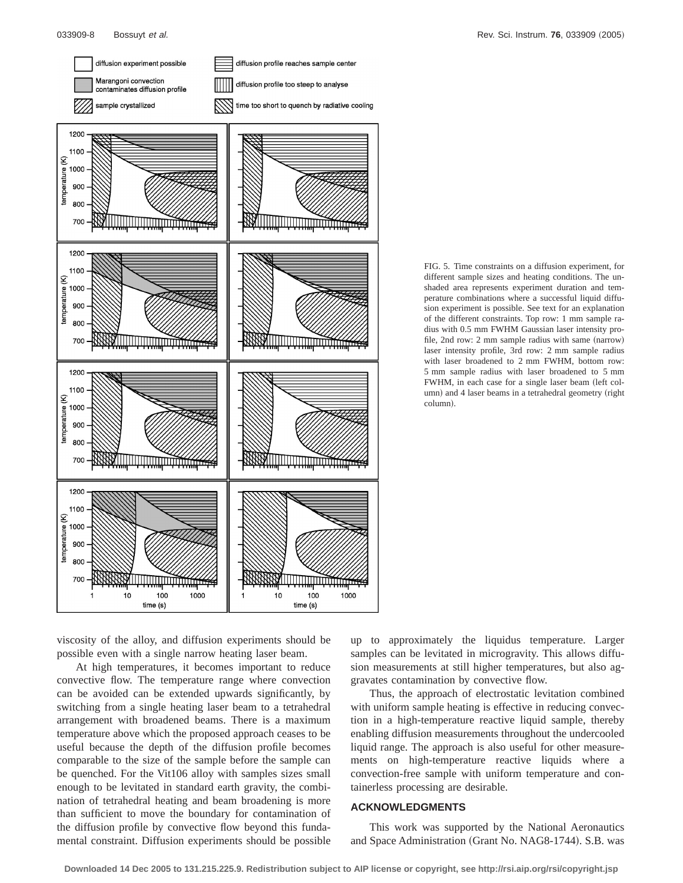

FIG. 5. Time constraints on a diffusion experiment, for different sample sizes and heating conditions. The unshaded area represents experiment duration and temperature combinations where a successful liquid diffusion experiment is possible. See text for an explanation of the different constraints. Top row: 1 mm sample radius with 0.5 mm FWHM Gaussian laser intensity profile, 2nd row:  $2 \text{ mm}$  sample radius with same (narrow) laser intensity profile, 3rd row: 2 mm sample radius with laser broadened to 2 mm FWHM, bottom row: 5 mm sample radius with laser broadened to 5 mm FWHM, in each case for a single laser beam (left column) and 4 laser beams in a tetrahedral geometry (right column).

viscosity of the alloy, and diffusion experiments should be possible even with a single narrow heating laser beam.

At high temperatures, it becomes important to reduce convective flow. The temperature range where convection can be avoided can be extended upwards significantly, by switching from a single heating laser beam to a tetrahedral arrangement with broadened beams. There is a maximum temperature above which the proposed approach ceases to be useful because the depth of the diffusion profile becomes comparable to the size of the sample before the sample can be quenched. For the Vit106 alloy with samples sizes small enough to be levitated in standard earth gravity, the combination of tetrahedral heating and beam broadening is more than sufficient to move the boundary for contamination of the diffusion profile by convective flow beyond this fundamental constraint. Diffusion experiments should be possible up to approximately the liquidus temperature. Larger samples can be levitated in microgravity. This allows diffusion measurements at still higher temperatures, but also aggravates contamination by convective flow.

Thus, the approach of electrostatic levitation combined with uniform sample heating is effective in reducing convection in a high-temperature reactive liquid sample, thereby enabling diffusion measurements throughout the undercooled liquid range. The approach is also useful for other measurements on high-temperature reactive liquids where a convection-free sample with uniform temperature and containerless processing are desirable.

## **ACKNOWLEDGMENTS**

This work was supported by the National Aeronautics and Space Administration (Grant No. NAG8-1744). S.B. was